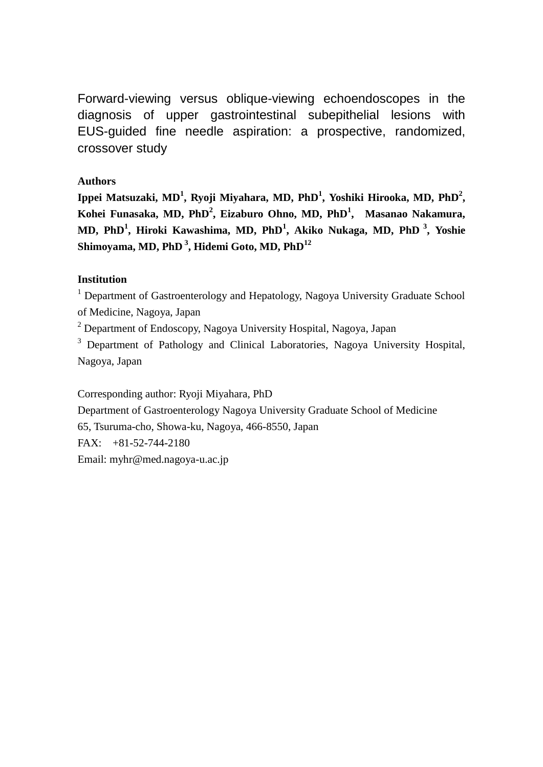Forward-viewing versus oblique-viewing echoendoscopes in the diagnosis of upper gastrointestinal subepithelial lesions with EUS-guided fine needle aspiration: a prospective, randomized, crossover study

# **Authors**

**Ippei Matsuzaki, MD<sup>1</sup> , Ryoji Miyahara, MD, PhD<sup>1</sup> , Yoshiki Hirooka, MD, PhD<sup>2</sup> , Kohei Funasaka, MD, PhD<sup>2</sup> , Eizaburo Ohno, MD, PhD<sup>1</sup> , Masanao Nakamura, MD, PhD<sup>1</sup> , Hiroki Kawashima, MD, PhD<sup>1</sup> , Akiko Nukaga, MD, PhD <sup>3</sup> , Yoshie Shimoyama, MD, PhD <sup>3</sup> , Hidemi Goto, MD, PhD<sup>12</sup>**

# **Institution**

<sup>1</sup> Department of Gastroenterology and Hepatology, Nagoya University Graduate School of Medicine, Nagoya, Japan

<sup>2</sup> Department of Endoscopy, Nagoya University Hospital, Nagoya, Japan

<sup>3</sup> Department of Pathology and Clinical Laboratories, Nagoya University Hospital, Nagoya, Japan

Corresponding author: Ryoji Miyahara, PhD Department of Gastroenterology Nagoya University Graduate School of Medicine 65, Tsuruma-cho, Showa-ku, Nagoya, 466-8550, Japan FAX: +81-52-744-2180 Email: [myhr@med.nagoya-u.ac.jp](mailto:myhr@med.nagoya-u.ac.jp)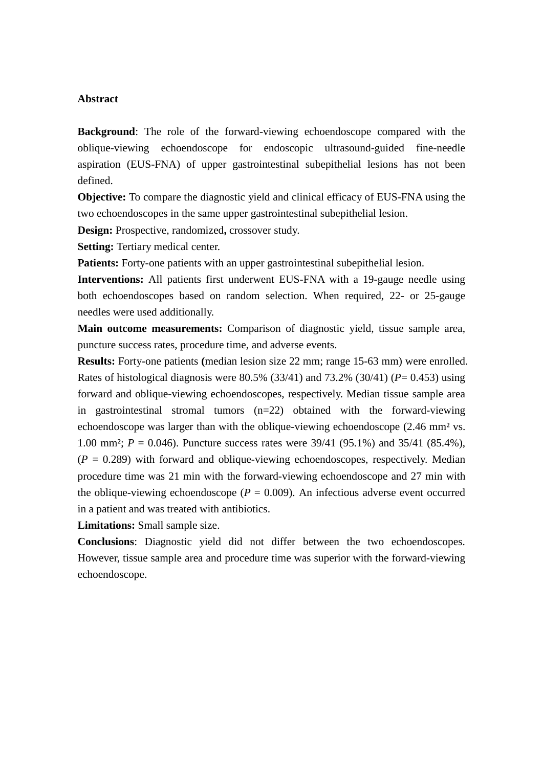#### **Abstract**

**Background**: The role of the forward-viewing echoendoscope compared with the oblique-viewing echoendoscope for endoscopic ultrasound-guided fine-needle aspiration (EUS-FNA) of upper gastrointestinal subepithelial lesions has not been defined.

**Objective:** To compare the diagnostic yield and clinical efficacy of EUS-FNA using the two echoendoscopes in the same upper gastrointestinal subepithelial lesion.

**Design:** Prospective, randomized**,** crossover study.

**Setting:** Tertiary medical center.

**Patients:** Forty-one patients with an upper gastrointestinal subepithelial lesion.

**Interventions:** All patients first underwent EUS-FNA with a 19-gauge needle using both echoendoscopes based on random selection. When required, 22- or 25-gauge needles were used additionally.

**Main outcome measurements:** Comparison of diagnostic yield, tissue sample area, puncture success rates, procedure time, and adverse events.

**Results:** Forty-one patients **(**median lesion size 22 mm; range 15-63 mm) were enrolled. Rates of histological diagnosis were 80.5% (33/41) and 73.2% (30/41) (*P*= 0.453) using forward and oblique-viewing echoendoscopes, respectively. Median tissue sample area in gastrointestinal stromal tumors (n=22) obtained with the forward-viewing echoendoscope was larger than with the oblique-viewing echoendoscope (2.46 mm² vs. 1.00 mm²; *P* = 0.046). Puncture success rates were 39/41 (95.1%) and 35/41 (85.4%),  $(P = 0.289)$  with forward and oblique-viewing echoendoscopes, respectively. Median procedure time was 21 min with the forward-viewing echoendoscope and 27 min with the oblique-viewing echoendoscope ( $P = 0.009$ ). An infectious adverse event occurred in a patient and was treated with antibiotics.

**Limitations:** Small sample size.

**Conclusions**: Diagnostic yield did not differ between the two echoendoscopes. However, tissue sample area and procedure time was superior with the forward-viewing echoendoscope.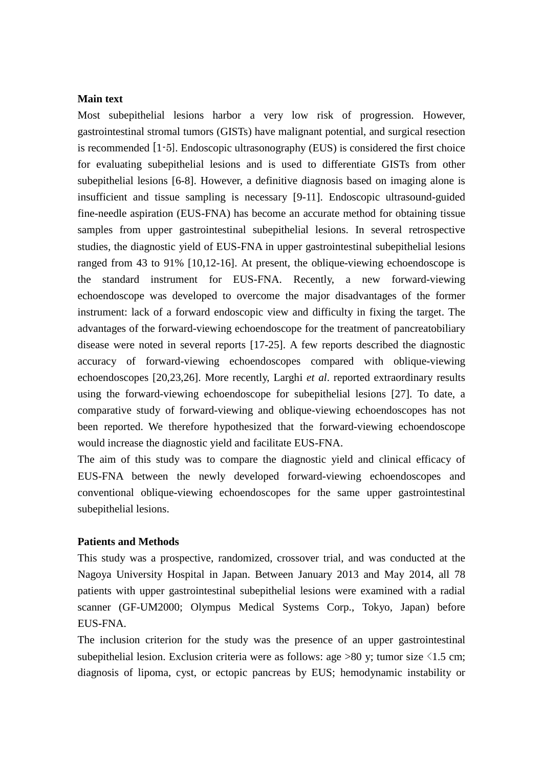### **Main text**

Most subepithelial lesions harbor a very low risk of progression. However, gastrointestinal stromal tumors (GISTs) have malignant potential, and surgical resection is recommended [1-5]. Endoscopic ultrasonography (EUS) is considered the first choice for evaluating subepithelial lesions and is used to differentiate GISTs from other subepithelial lesions [6-8]. However, a definitive diagnosis based on imaging alone is insufficient and tissue sampling is necessary [9-11]. Endoscopic ultrasound-guided fine-needle aspiration (EUS-FNA) has become an accurate method for obtaining tissue samples from upper gastrointestinal subepithelial lesions. In several retrospective studies, the diagnostic yield of EUS-FNA in upper gastrointestinal subepithelial lesions ranged from 43 to 91% [10,12-16]. At present, the oblique-viewing echoendoscope is the standard instrument for EUS-FNA. Recently, a new forward-viewing echoendoscope was developed to overcome the major disadvantages of the former instrument: lack of a forward endoscopic view and difficulty in fixing the target. The advantages of the forward-viewing echoendoscope for the treatment of pancreatobiliary disease were noted in several reports [17-25]. A few reports described the diagnostic accuracy of forward-viewing echoendoscopes compared with oblique-viewing echoendoscopes [20,23,26]. More recently, Larghi *et al*. reported extraordinary results using the forward-viewing echoendoscope for subepithelial lesions [27]. To date, a comparative study of forward-viewing and oblique-viewing echoendoscopes has not been reported. We therefore hypothesized that the forward-viewing echoendoscope would increase the diagnostic yield and facilitate EUS-FNA.

The aim of this study was to compare the diagnostic yield and clinical efficacy of EUS-FNA between the newly developed forward-viewing echoendoscopes and conventional oblique-viewing echoendoscopes for the same upper gastrointestinal subepithelial lesions.

#### **Patients and Methods**

This study was a prospective, randomized, crossover trial, and was conducted at the Nagoya University Hospital in Japan. Between January 2013 and May 2014, all 78 patients with upper gastrointestinal subepithelial lesions were examined with a radial scanner (GF-UM2000; Olympus Medical Systems Corp., Tokyo, Japan) before EUS-FNA.

The inclusion criterion for the study was the presence of an upper gastrointestinal subepithelial lesion. Exclusion criteria were as follows: age  $>80$  y; tumor size  $\leq 1.5$  cm; diagnosis of lipoma, cyst, or ectopic pancreas by EUS; hemodynamic instability or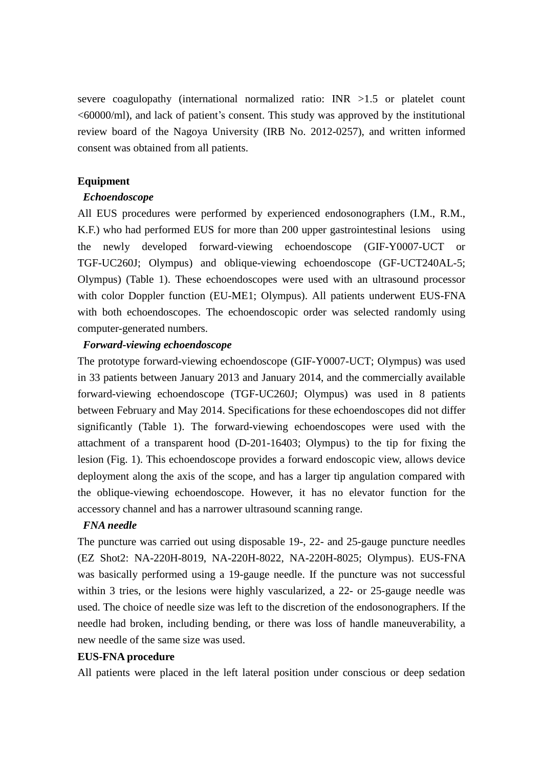severe coagulopathy (international normalized ratio: INR  $>1.5$  or platelet count  $< 60000/ml$ , and lack of patient's consent. This study was approved by the institutional review board of the Nagoya University (IRB No. 2012-0257), and written informed consent was obtained from all patients.

### **Equipment**

### *Echoendoscope*

All EUS procedures were performed by experienced endosonographers (I.M., R.M., K.F.) who had performed EUS for more than 200 upper gastrointestinal lesions using the newly developed forward-viewing echoendoscope (GIF-Y0007-UCT or TGF-UC260J; Olympus) and oblique-viewing echoendoscope (GF-UCT240AL-5; Olympus) (Table 1). These echoendoscopes were used with an ultrasound processor with color Doppler function (EU-ME1; Olympus). All patients underwent EUS-FNA with both echoendoscopes. The echoendoscopic order was selected randomly using computer-generated numbers.

#### *Forward-viewing echoendoscope*

The prototype forward-viewing echoendoscope (GIF-Y0007-UCT; Olympus) was used in 33 patients between January 2013 and January 2014, and the commercially available forward-viewing echoendoscope (TGF-UC260J; Olympus) was used in 8 patients between February and May 2014. Specifications for these echoendoscopes did not differ significantly (Table 1). The forward-viewing echoendoscopes were used with the attachment of a transparent hood (D-201-16403; Olympus) to the tip for fixing the lesion (Fig. 1). This echoendoscope provides a forward endoscopic view, allows device deployment along the axis of the scope, and has a larger tip angulation compared with the oblique-viewing echoendoscope. However, it has no elevator function for the accessory channel and has a narrower ultrasound scanning range.

#### *FNA needle*

The puncture was carried out using disposable 19-, 22- and 25-gauge puncture needles (EZ Shot2: NA-220H-8019, NA-220H-8022, NA-220H-8025; Olympus). EUS-FNA was basically performed using a 19-gauge needle. If the puncture was not successful within 3 tries, or the lesions were highly vascularized, a 22- or 25-gauge needle was used. The choice of needle size was left to the discretion of the endosonographers. If the needle had broken, including bending, or there was loss of handle maneuverability, a new needle of the same size was used.

#### **EUS-FNA procedure**

All patients were placed in the left lateral position under conscious or deep sedation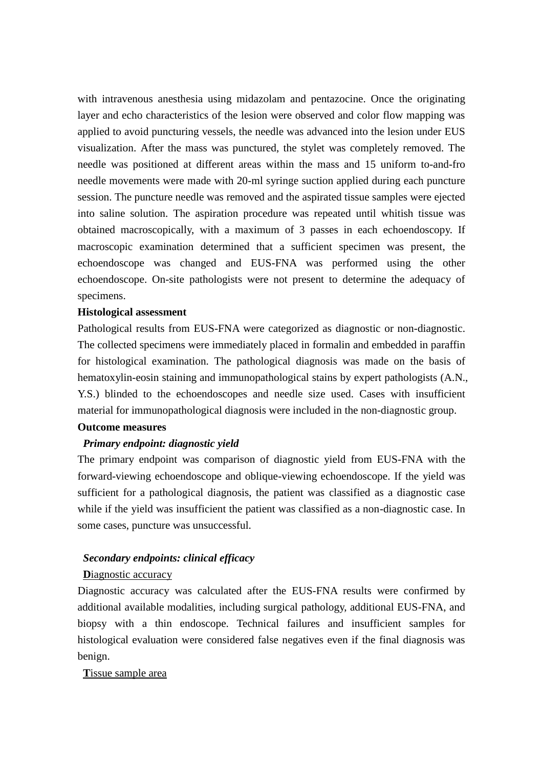with intravenous anesthesia using midazolam and pentazocine. Once the originating layer and echo characteristics of the lesion were observed and color flow mapping was applied to avoid puncturing vessels, the needle was advanced into the lesion under EUS visualization. After the mass was punctured, the stylet was completely removed. The needle was positioned at different areas within the mass and 15 uniform to-and-fro needle movements were made with 20-ml syringe suction applied during each puncture session. The puncture needle was removed and the aspirated tissue samples were ejected into saline solution. The aspiration procedure was repeated until whitish tissue was obtained macroscopically, with a maximum of 3 passes in each echoendoscopy. If macroscopic examination determined that a sufficient specimen was present, the echoendoscope was changed and EUS-FNA was performed using the other echoendoscope. On-site pathologists were not present to determine the adequacy of specimens.

#### **Histological assessment**

Pathological results from EUS-FNA were categorized as diagnostic or non-diagnostic. The collected specimens were immediately placed in formalin and embedded in paraffin for histological examination. The pathological diagnosis was made on the basis of hematoxylin-eosin staining and immunopathological stains by expert pathologists (A.N., Y.S.) blinded to the echoendoscopes and needle size used. Cases with insufficient material for immunopathological diagnosis were included in the non-diagnostic group.

### **Outcome measures**

## *Primary endpoint: diagnostic yield*

The primary endpoint was comparison of diagnostic yield from EUS-FNA with the forward-viewing echoendoscope and oblique-viewing echoendoscope. If the yield was sufficient for a pathological diagnosis, the patient was classified as a diagnostic case while if the yield was insufficient the patient was classified as a non-diagnostic case. In some cases, puncture was unsuccessful.

#### *Secondary endpoints: clinical efficacy*

### **D**iagnostic accuracy

Diagnostic accuracy was calculated after the EUS-FNA results were confirmed by additional available modalities, including surgical pathology, additional EUS-FNA, and biopsy with a thin endoscope. Technical failures and insufficient samples for histological evaluation were considered false negatives even if the final diagnosis was benign.

### **T**issue sample area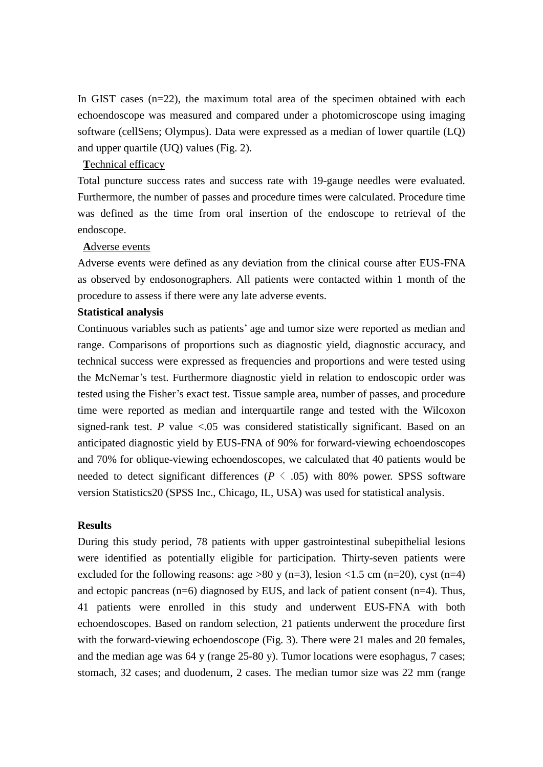In GIST cases (n=22), the maximum total area of the specimen obtained with each echoendoscope was measured and compared under a photomicroscope using imaging software (cellSens; Olympus). Data were expressed as a median of lower quartile (LQ) and upper quartile (UQ) values (Fig. 2).

#### **T**echnical efficacy

Total puncture success rates and success rate with 19-gauge needles were evaluated. Furthermore, the number of passes and procedure times were calculated. Procedure time was defined as the time from oral insertion of the endoscope to retrieval of the endoscope.

## **A**dverse events

Adverse events were defined as any deviation from the clinical course after EUS-FNA as observed by endosonographers. All patients were contacted within 1 month of the procedure to assess if there were any late adverse events.

#### **Statistical analysis**

Continuous variables such as patients' age and tumor size were reported as median and range. Comparisons of proportions such as diagnostic yield, diagnostic accuracy, and technical success were expressed as frequencies and proportions and were tested using the McNemar's test. Furthermore diagnostic yield in relation to endoscopic order was tested using the Fisher's exact test. Tissue sample area, number of passes, and procedure time were reported as median and interquartile range and tested with the Wilcoxon signed-rank test.  $P$  value  $\lt 0.05$  was considered statistically significant. Based on an anticipated diagnostic yield by EUS-FNA of 90% for forward-viewing echoendoscopes and 70% for oblique-viewing echoendoscopes, we calculated that 40 patients would be needed to detect significant differences ( $P \leq .05$ ) with 80% power. SPSS software version Statistics20 (SPSS Inc., Chicago, IL, USA) was used for statistical analysis.

## **Results**

During this study period, 78 patients with upper gastrointestinal subepithelial lesions were identified as potentially eligible for participation. Thirty-seven patients were excluded for the following reasons: age  $>80$  y (n=3), lesion <1.5 cm (n=20), cyst (n=4) and ectopic pancreas (n=6) diagnosed by EUS, and lack of patient consent (n=4). Thus, 41 patients were enrolled in this study and underwent EUS-FNA with both echoendoscopes. Based on random selection, 21 patients underwent the procedure first with the forward-viewing echoendoscope (Fig. 3). There were 21 males and 20 females, and the median age was 64 y (range 25-80 y). Tumor locations were esophagus, 7 cases; stomach, 32 cases; and duodenum, 2 cases. The median tumor size was 22 mm (range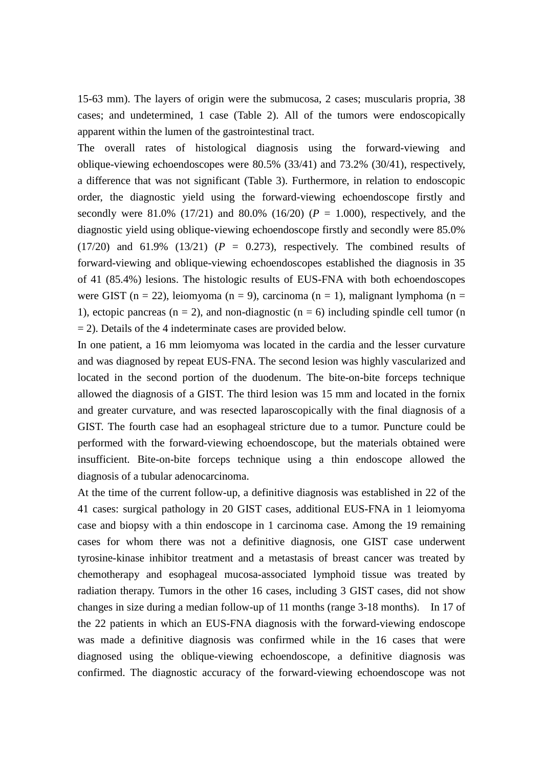15-63 mm). The layers of origin were the submucosa, 2 cases; muscularis propria, 38 cases; and undetermined, 1 case (Table 2). All of the tumors were endoscopically apparent within the lumen of the gastrointestinal tract.

The overall rates of histological diagnosis using the forward-viewing and oblique-viewing echoendoscopes were 80.5% (33/41) and 73.2% (30/41), respectively, a difference that was not significant (Table 3). Furthermore, in relation to endoscopic order, the diagnostic yield using the forward-viewing echoendoscope firstly and secondly were 81.0% (17/21) and 80.0% (16/20)  $(P = 1.000)$ , respectively, and the diagnostic yield using oblique-viewing echoendoscope firstly and secondly were 85.0%  $(17/20)$  and  $61.9\%$   $(13/21)$   $(P = 0.273)$ , respectively. The combined results of forward-viewing and oblique-viewing echoendoscopes established the diagnosis in 35 of 41 (85.4%) lesions. The histologic results of EUS-FNA with both echoendoscopes were GIST (n = 22), leiomyoma (n = 9), carcinoma (n = 1), malignant lymphoma (n = 1), ectopic pancreas ( $n = 2$ ), and non-diagnostic ( $n = 6$ ) including spindle cell tumor (n  $= 2$ ). Details of the 4 indeterminate cases are provided below.

In one patient, a 16 mm leiomyoma was located in the cardia and the lesser curvature and was diagnosed by repeat EUS-FNA. The second lesion was highly vascularized and located in the second portion of the duodenum. The bite-on-bite forceps technique allowed the diagnosis of a GIST. The third lesion was 15 mm and located in the fornix and greater curvature, and was resected laparoscopically with the final diagnosis of a GIST. The fourth case had an esophageal stricture due to a tumor. Puncture could be performed with the forward-viewing echoendoscope, but the materials obtained were insufficient. Bite-on-bite forceps technique using a thin endoscope allowed the diagnosis of a tubular adenocarcinoma.

At the time of the current follow-up, a definitive diagnosis was established in 22 of the 41 cases: surgical pathology in 20 GIST cases, additional EUS-FNA in 1 leiomyoma case and biopsy with a thin endoscope in 1 carcinoma case. Among the 19 remaining cases for whom there was not a definitive diagnosis, one GIST case underwent tyrosine-kinase inhibitor treatment and a metastasis of breast cancer was treated by chemotherapy and esophageal mucosa-associated lymphoid tissue was treated by radiation therapy. Tumors in the other 16 cases, including 3 GIST cases, did not show changes in size during a median follow-up of 11 months (range 3-18 months). In 17 of the 22 patients in which an EUS-FNA diagnosis with the forward-viewing endoscope was made a definitive diagnosis was confirmed while in the 16 cases that were diagnosed using the oblique-viewing echoendoscope, a definitive diagnosis was confirmed. The diagnostic accuracy of the forward-viewing echoendoscope was not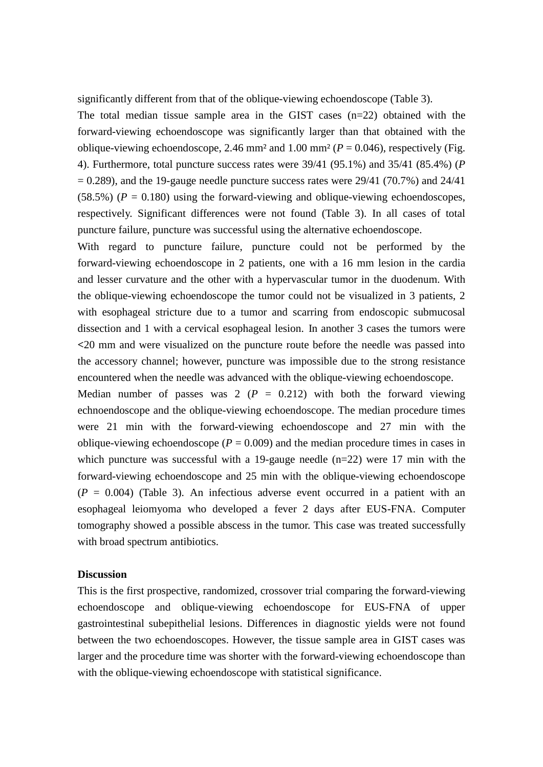significantly different from that of the oblique-viewing echoendoscope (Table 3).

The total median tissue sample area in the GIST cases  $(n=22)$  obtained with the forward-viewing echoendoscope was significantly larger than that obtained with the oblique-viewing echoendoscope, 2.46 mm<sup>2</sup> and 1.00 mm<sup>2</sup> ( $P = 0.046$ ), respectively (Fig. 4). Furthermore, total puncture success rates were 39/41 (95.1%) and 35/41 (85.4%) (*P*  $= 0.289$ ), and the 19-gauge needle puncture success rates were 29/41 (70.7%) and 24/41  $(58.5%) (P = 0.180)$  using the forward-viewing and oblique-viewing echoendoscopes, respectively. Significant differences were not found (Table 3). In all cases of total puncture failure, puncture was successful using the alternative echoendoscope.

With regard to puncture failure, puncture could not be performed by the forward-viewing echoendoscope in 2 patients, one with a 16 mm lesion in the cardia and lesser curvature and the other with a hypervascular tumor in the duodenum. With the oblique-viewing echoendoscope the tumor could not be visualized in 3 patients, 2 with esophageal stricture due to a tumor and scarring from endoscopic submucosal dissection and 1 with a cervical esophageal lesion. In another 3 cases the tumors were **<**20 mm and were visualized on the puncture route before the needle was passed into the accessory channel; however, puncture was impossible due to the strong resistance encountered when the needle was advanced with the oblique-viewing echoendoscope.

Median number of passes was  $2(P = 0.212)$  with both the forward viewing echnoendoscope and the oblique-viewing echoendoscope. The median procedure times were 21 min with the forward-viewing echoendoscope and 27 min with the oblique-viewing echoendoscope ( $P = 0.009$ ) and the median procedure times in cases in which puncture was successful with a 19-gauge needle  $(n=22)$  were 17 min with the forward-viewing echoendoscope and 25 min with the oblique-viewing echoendoscope  $(P = 0.004)$  (Table 3). An infectious adverse event occurred in a patient with an esophageal leiomyoma who developed a fever 2 days after EUS-FNA. Computer tomography showed a possible abscess in the tumor. This case was treated successfully with broad spectrum antibiotics.

#### **Discussion**

This is the first prospective, randomized, crossover trial comparing the forward-viewing echoendoscope and oblique-viewing echoendoscope for EUS-FNA of upper gastrointestinal subepithelial lesions. Differences in diagnostic yields were not found between the two echoendoscopes. However, the tissue sample area in GIST cases was larger and the procedure time was shorter with the forward-viewing echoendoscope than with the oblique-viewing echoendoscope with statistical significance.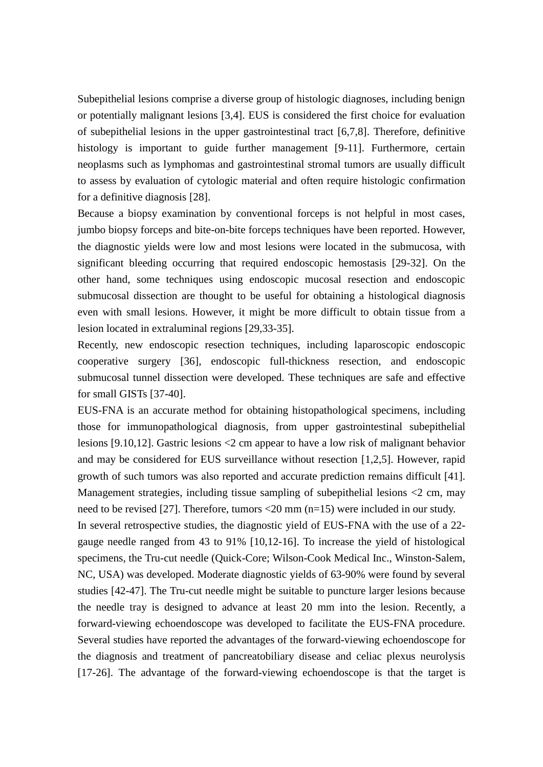Subepithelial lesions comprise a diverse group of histologic diagnoses, including benign or potentially malignant lesions [3,4]. EUS is considered the first choice for evaluation of subepithelial lesions in the upper gastrointestinal tract [6,7,8]. Therefore, definitive histology is important to guide further management [9-11]. Furthermore, certain neoplasms such as lymphomas and gastrointestinal stromal tumors are usually difficult to assess by evaluation of cytologic material and often require histologic confirmation for a definitive diagnosis [28].

Because a biopsy examination by conventional forceps is not helpful in most cases, jumbo biopsy forceps and bite-on-bite forceps techniques have been reported. However, the diagnostic yields were low and most lesions were located in the submucosa, with significant bleeding occurring that required endoscopic hemostasis [29-32]. On the other hand, some techniques using endoscopic mucosal resection and endoscopic submucosal dissection are thought to be useful for obtaining a histological diagnosis even with small lesions. However, it might be more difficult to obtain tissue from a lesion located in extraluminal regions [29,33-35].

Recently, new endoscopic resection techniques, including laparoscopic endoscopic cooperative surgery [36], endoscopic full-thickness resection, and endoscopic submucosal tunnel dissection were developed. These techniques are safe and effective for small GISTs [37-40].

EUS-FNA is an accurate method for obtaining histopathological specimens, including those for immunopathological diagnosis, from upper gastrointestinal subepithelial lesions [9.10,12]. Gastric lesions <2 cm appear to have a low risk of malignant behavior and may be considered for EUS surveillance without resection [1,2,5]. However, rapid growth of such tumors was also reported and accurate prediction remains difficult [41]. Management strategies, including tissue sampling of subepithelial lesions  $\langle 2 \text{ cm}, \text{ may} \rangle$ need to be revised [27]. Therefore, tumors <20 mm (n=15) were included in our study.

In several retrospective studies, the diagnostic yield of EUS-FNA with the use of a 22 gauge needle ranged from 43 to 91% [10,12-16]. To increase the yield of histological specimens, the Tru-cut needle (Quick-Core; Wilson-Cook Medical Inc., Winston-Salem, NC, USA) was developed. Moderate diagnostic yields of 63-90% were found by several studies [42-47]. The Tru-cut needle might be suitable to puncture larger lesions because the needle tray is designed to advance at least 20 mm into the lesion. Recently, a forward-viewing echoendoscope was developed to facilitate the EUS-FNA procedure. Several studies have reported the advantages of the forward-viewing echoendoscope for the diagnosis and treatment of pancreatobiliary disease and celiac plexus neurolysis [17-26]. The advantage of the forward-viewing echoendoscope is that the target is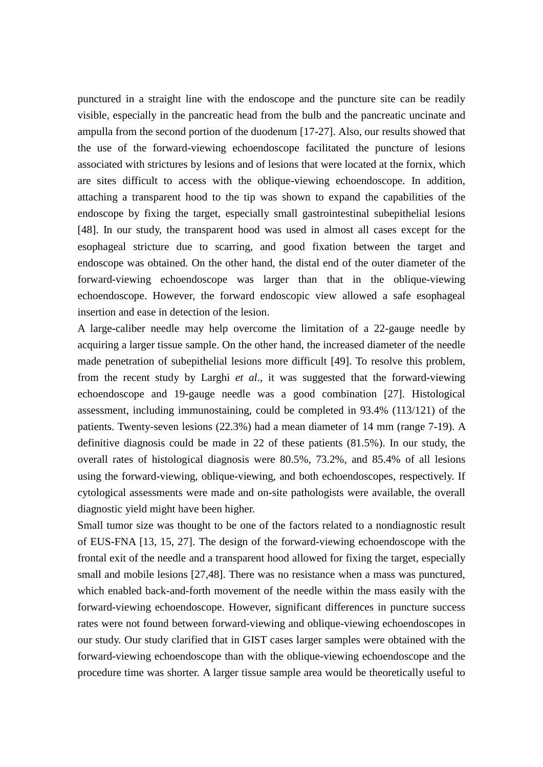punctured in a straight line with the endoscope and the puncture site can be readily visible, especially in the pancreatic head from the bulb and the pancreatic uncinate and ampulla from the second portion of the duodenum [17-27]. Also, our results showed that the use of the forward-viewing echoendoscope facilitated the puncture of lesions associated with strictures by lesions and of lesions that were located at the fornix, which are sites difficult to access with the oblique-viewing echoendoscope. In addition, attaching a transparent hood to the tip was shown to expand the capabilities of the endoscope by fixing the target, especially small gastrointestinal subepithelial lesions [48]. In our study, the transparent hood was used in almost all cases except for the esophageal stricture due to scarring, and good fixation between the target and endoscope was obtained. On the other hand, the distal end of the outer diameter of the forward-viewing echoendoscope was larger than that in the oblique-viewing echoendoscope. However, the forward endoscopic view allowed a safe esophageal insertion and ease in detection of the lesion.

A large-caliber needle may help overcome the limitation of a 22-gauge needle by acquiring a larger tissue sample. On the other hand, the increased diameter of the needle made penetration of subepithelial lesions more difficult [49]. To resolve this problem, from the recent study by Larghi *et al*., it was suggested that the forward-viewing echoendoscope and 19-gauge needle was a good combination [27]. Histological assessment, including immunostaining, could be completed in 93.4% (113/121) of the patients. Twenty-seven lesions (22.3%) had a mean diameter of 14 mm (range 7-19). A definitive diagnosis could be made in 22 of these patients (81.5%). In our study, the overall rates of histological diagnosis were 80.5%, 73.2%, and 85.4% of all lesions using the forward-viewing, oblique-viewing, and both echoendoscopes, respectively. If cytological assessments were made and on-site pathologists were available, the overall diagnostic yield might have been higher.

Small tumor size was thought to be one of the factors related to a nondiagnostic result of EUS-FNA [13, 15, 27]. The design of the forward-viewing echoendoscope with the frontal exit of the needle and a transparent hood allowed for fixing the target, especially small and mobile lesions [27,48]. There was no resistance when a mass was punctured, which enabled back-and-forth movement of the needle within the mass easily with the forward-viewing echoendoscope. However, significant differences in puncture success rates were not found between forward-viewing and oblique-viewing echoendoscopes in our study. Our study clarified that in GIST cases larger samples were obtained with the forward-viewing echoendoscope than with the oblique-viewing echoendoscope and the procedure time was shorter. A larger tissue sample area would be theoretically useful to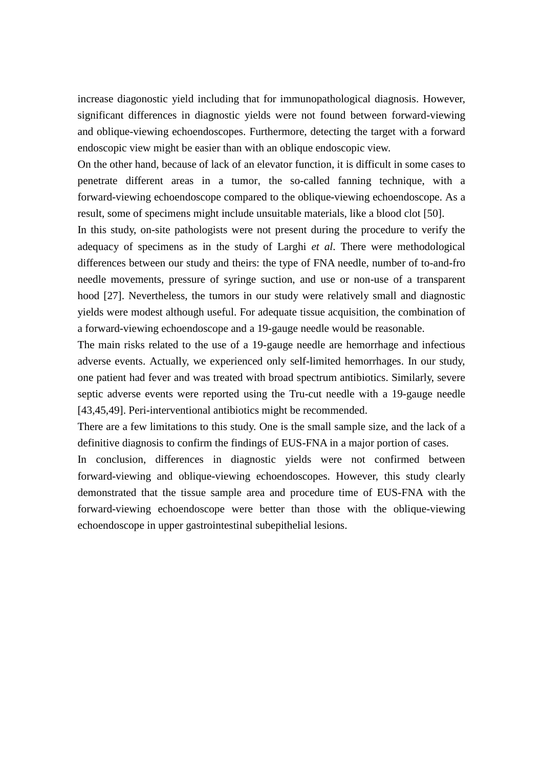increase diagonostic yield including that for immunopathological diagnosis. However, significant differences in diagnostic yields were not found between forward-viewing and oblique-viewing echoendoscopes. Furthermore, detecting the target with a forward endoscopic view might be easier than with an oblique endoscopic view.

On the other hand, because of lack of an elevator function, it is difficult in some cases to penetrate different areas in a tumor, the so-called fanning technique, with a forward-viewing echoendoscope compared to the oblique-viewing echoendoscope. As a result, some of specimens might include unsuitable materials, like a blood clot [50].

In this study, on-site pathologists were not present during the procedure to verify the adequacy of specimens as in the study of Larghi *et al*. There were methodological differences between our study and theirs: the type of FNA needle, number of to-and-fro needle movements, pressure of syringe suction, and use or non-use of a transparent hood [27]. Nevertheless, the tumors in our study were relatively small and diagnostic yields were modest although useful. For adequate tissue acquisition, the combination of a forward-viewing echoendoscope and a 19-gauge needle would be reasonable.

The main risks related to the use of a 19-gauge needle are hemorrhage and infectious adverse events. Actually, we experienced only self-limited hemorrhages. In our study, one patient had fever and was treated with broad spectrum antibiotics. Similarly, severe septic adverse events were reported using the Tru-cut needle with a 19-gauge needle [43,45,49]. Peri-interventional antibiotics might be recommended.

There are a few limitations to this study. One is the small sample size, and the lack of a definitive diagnosis to confirm the findings of EUS-FNA in a major portion of cases.

In conclusion, differences in diagnostic yields were not confirmed between forward-viewing and oblique-viewing echoendoscopes. However, this study clearly demonstrated that the tissue sample area and procedure time of EUS-FNA with the forward-viewing echoendoscope were better than those with the oblique-viewing echoendoscope in upper gastrointestinal subepithelial lesions.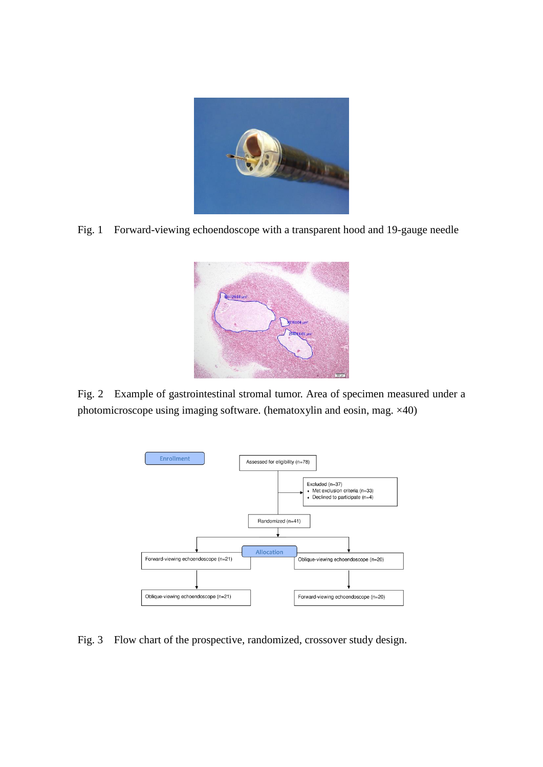

Fig. 1 Forward-viewing echoendoscope with a transparent hood and 19-gauge needle



Fig. 2 Example of gastrointestinal stromal tumor. Area of specimen measured under a photomicroscope using imaging software. (hematoxylin and eosin, mag. ×40)



Fig. 3 Flow chart of the prospective, randomized, crossover study design.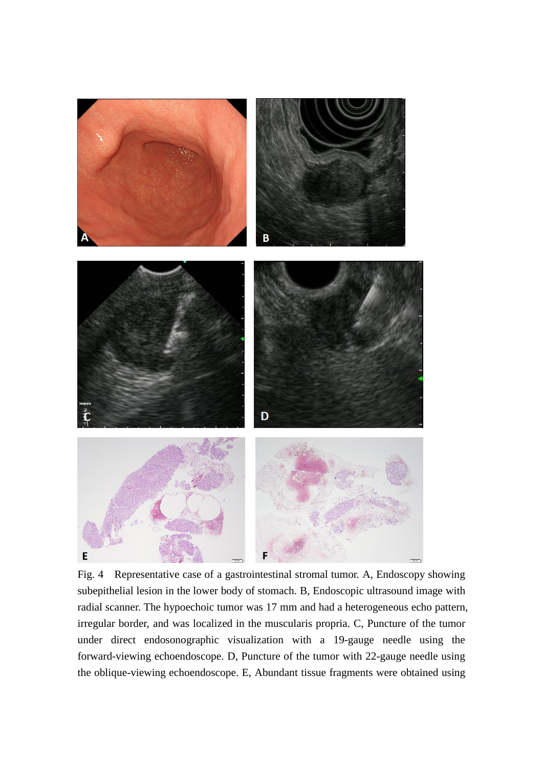

Fig. 4 Representative case of a gastrointestinal stromal tumor. A, Endoscopy showing subepithelial lesion in the lower body of stomach. B, Endoscopic ultrasound image with radial scanner. The hypoechoic tumor was 17 mm and had a heterogeneous echo pattern, irregular border, and was localized in the muscularis propria. C, Puncture of the tumor under direct endosonographic visualization with a 19-gauge needle using the forward-viewing echoendoscope. D, Puncture of the tumor with 22-gauge needle using the oblique-viewing echoendoscope. E, Abundant tissue fragments were obtained using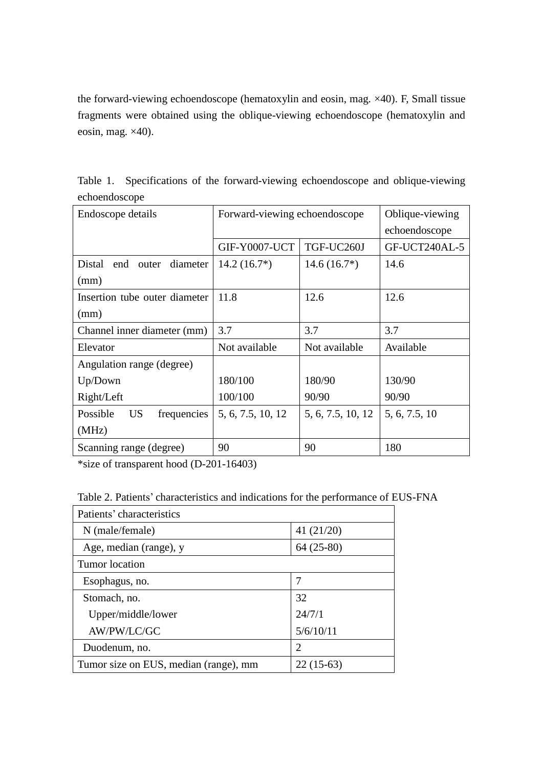the forward-viewing echoendoscope (hematoxylin and eosin, mag. ×40). F, Small tissue fragments were obtained using the oblique-viewing echoendoscope (hematoxylin and eosin, mag. ×40).

| Endoscope details                    | Forward-viewing echoendoscope |                   | Oblique-viewing |  |
|--------------------------------------|-------------------------------|-------------------|-----------------|--|
|                                      |                               |                   | echoendoscope   |  |
|                                      | <b>GIF-Y0007-UCT</b>          | TGF-UC260J        | GF-UCT240AL-5   |  |
| Distal<br>diameter<br>end<br>outer   | $14.2(16.7*)$                 | $14.6(16.7*)$     | 14.6            |  |
| (mm)                                 |                               |                   |                 |  |
| Insertion tube outer diameter        | 11.8                          | 12.6              | 12.6            |  |
| (mm)                                 |                               |                   |                 |  |
| Channel inner diameter (mm)          | 3.7                           | 3.7               | 3.7             |  |
| Elevator                             | Not available                 | Not available     | Available       |  |
| Angulation range (degree)            |                               |                   |                 |  |
| Up/Down                              | 180/100                       | 180/90            | 130/90          |  |
| Right/Left                           | 100/100                       | 90/90             | 90/90           |  |
| <b>US</b><br>Possible<br>frequencies | 5, 6, 7.5, 10, 12             | 5, 6, 7.5, 10, 12 | 5, 6, 7.5, 10   |  |
| (MHz)                                |                               |                   |                 |  |
| Scanning range (degree)              | 90                            | 90                | 180             |  |

Table 1. Specifications of the forward-viewing echoendoscope and oblique-viewing echoendoscope

\*size of transparent hood (D-201-16403)

Table 2. Patients' characteristics and indications for the performance of EUS-FNA

| Patients' characteristics             |                |
|---------------------------------------|----------------|
| N (male/female)                       | 41 $(21/20)$   |
| Age, median (range), y                | $64(25-80)$    |
| Tumor location                        |                |
| Esophagus, no.                        | 7              |
| Stomach, no.                          | 32             |
| Upper/middle/lower                    | 24/7/1         |
| AW/PW/LC/GC                           | 5/6/10/11      |
| Duodenum, no.                         | $\overline{c}$ |
| Tumor size on EUS, median (range), mm | $22(15-63)$    |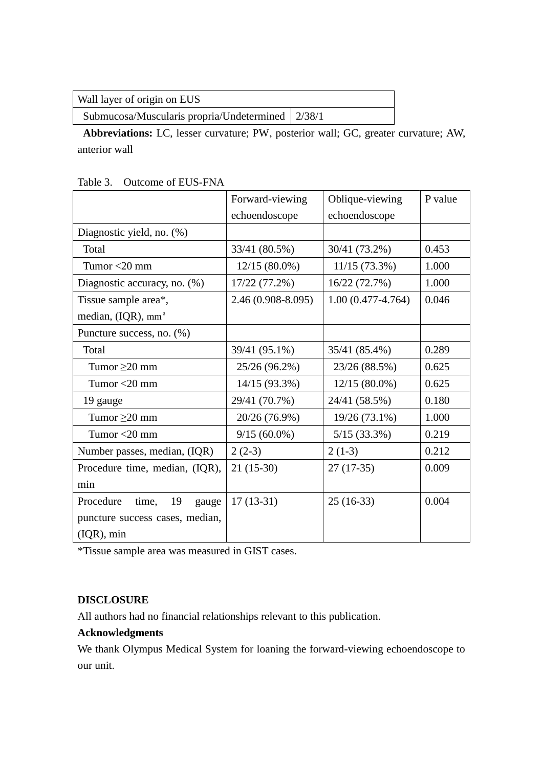| Wall layer of origin on EUS                        |  |
|----------------------------------------------------|--|
| Submucosa/Muscularis propria/Undetermined   2/38/1 |  |

**Abbreviations:** LC, lesser curvature; PW, posterior wall; GC, greater curvature; AW, anterior wall

| Table 3. |  | Outcome of EUS-FNA |
|----------|--|--------------------|
|----------|--|--------------------|

|                                   | Forward-viewing    | Oblique-viewing       | P value |
|-----------------------------------|--------------------|-----------------------|---------|
|                                   | echoendoscope      | echoendoscope         |         |
| Diagnostic yield, no. (%)         |                    |                       |         |
| Total                             | 33/41 (80.5%)      | 30/41 (73.2%)         | 0.453   |
| Tumor $<$ 20 mm                   | $12/15(80.0\%)$    | $11/15(73.3\%)$       | 1.000   |
| Diagnostic accuracy, no. (%)      | 17/22 (77.2%)      | 16/22 (72.7%)         | 1.000   |
| Tissue sample area*,              | 2.46 (0.908-8.095) | $1.00(0.477 - 4.764)$ | 0.046   |
| median, (IQR), mm <sup>2</sup>    |                    |                       |         |
| Puncture success, no. (%)         |                    |                       |         |
| Total                             | 39/41 (95.1%)      | 35/41 (85.4%)         | 0.289   |
| Tumor $\geq$ 20 mm                | 25/26 (96.2%)      | 23/26 (88.5%)         | 0.625   |
| Tumor $<$ 20 mm                   | $14/15(93.3\%)$    | $12/15(80.0\%)$       | 0.625   |
| 19 gauge                          | 29/41 (70.7%)      | 24/41 (58.5%)         | 0.180   |
| Tumor $\geq$ 20 mm                | 20/26 (76.9%)      | 19/26 (73.1%)         | 1.000   |
| Tumor $<$ 20 mm                   | $9/15(60.0\%)$     | $5/15(33.3\%)$        | 0.219   |
| Number passes, median, (IQR)      | $2(2-3)$           | $2(1-3)$              | 0.212   |
| Procedure time, median, (IQR),    | $21(15-30)$        | $27(17-35)$           | 0.009   |
| min                               |                    |                       |         |
| Procedure<br>19<br>time,<br>gauge | $17(13-31)$        | $25(16-33)$           | 0.004   |
| puncture success cases, median,   |                    |                       |         |
| $(IQR)$ , min                     |                    |                       |         |

\*Tissue sample area was measured in GIST cases.

### **DISCLOSURE**

All authors had no financial relationships relevant to this publication.

## **Acknowledgments**

We thank Olympus Medical System for loaning the forward-viewing echoendoscope to our unit.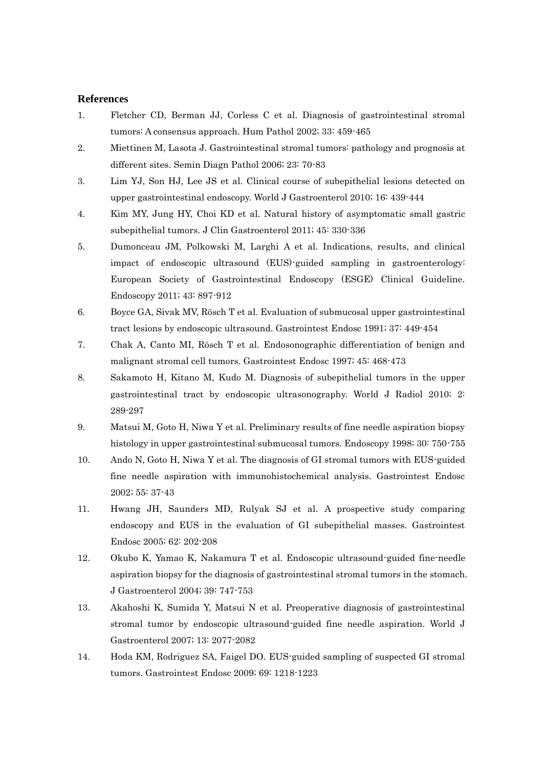#### **References**

- 1. Fletcher CD, Berman JJ, Corless C et al. Diagnosis of gastrointestinal stromal tumors: A consensus approach. Hum Pathol 2002; 33: 459-465
- 2. Miettinen M, Lasota J. Gastrointestinal stromal tumors: pathology and prognosis at different sites. Semin Diagn Pathol 2006; 23: 70-83
- 3. Lim YJ, Son HJ, Lee JS et al. Clinical course of subepithelial lesions detected on upper gastrointestinal endoscopy. World J Gastroenterol 2010; 16: 439-444
- 4. Kim MY, Jung HY, Choi KD et al. Natural history of asymptomatic small gastric subepithelial tumors. J Clin Gastroenterol 2011; 45: 330-336
- 5. Dumonceau JM, Polkowski M, Larghi A et al. Indications, results, and clinical impact of endoscopic ultrasound (EUS)-guided sampling in gastroenterology: European Society of Gastrointestinal Endoscopy (ESGE) Clinical Guideline. Endoscopy 2011; 43: 897-912
- 6. Boyce GA, Sivak MV, Rösch T et al. Evaluation of submucosal upper gastrointestinal tract lesions by endoscopic ultrasound. Gastrointest Endosc 1991; 37: 449-454
- 7. Chak A, Canto MI, Rösch T et al. Endosonographic differentiation of benign and malignant stromal cell tumors. Gastrointest Endosc 1997; 45: 468-473
- 8. Sakamoto H, Kitano M, Kudo M. Diagnosis of subepithelial tumors in the upper gastrointestinal tract by endoscopic ultrasonography. World J Radiol 2010; 2: 289-297
- 9. Matsui M, Goto H, Niwa Y et al. Preliminary results of fine needle aspiration biopsy histology in upper gastrointestinal submucosal tumors. Endoscopy 1998; 30: 750-755
- 10. Ando N, Goto H, Niwa Y et al. The diagnosis of GI stromal tumors with EUS-guided fine needle aspiration with immunohistochemical analysis. Gastrointest Endosc 2002; 55: 37-43
- 11. Hwang JH, Saunders MD, Rulyak SJ et al. A prospective study comparing endoscopy and EUS in the evaluation of GI subepithelial masses. Gastrointest Endosc 2005; 62: 202-208
- 12. Okubo K, Yamao K, Nakamura T et al. Endoscopic ultrasound-guided fine-needle aspiration biopsy for the diagnosis of gastrointestinal stromal tumors in the stomach. J Gastroenterol 2004; 39: 747-753
- 13. Akahoshi K, Sumida Y, Matsui N et al. Preoperative diagnosis of gastrointestinal stromal tumor by endoscopic ultrasound-guided fine needle aspiration. World J Gastroenterol 2007; 13: 2077-2082
- 14. Hoda KM, Rodriguez SA, Faigel DO. EUS-guided sampling of suspected GI stromal tumors. Gastrointest Endosc 2009; 69: 1218-1223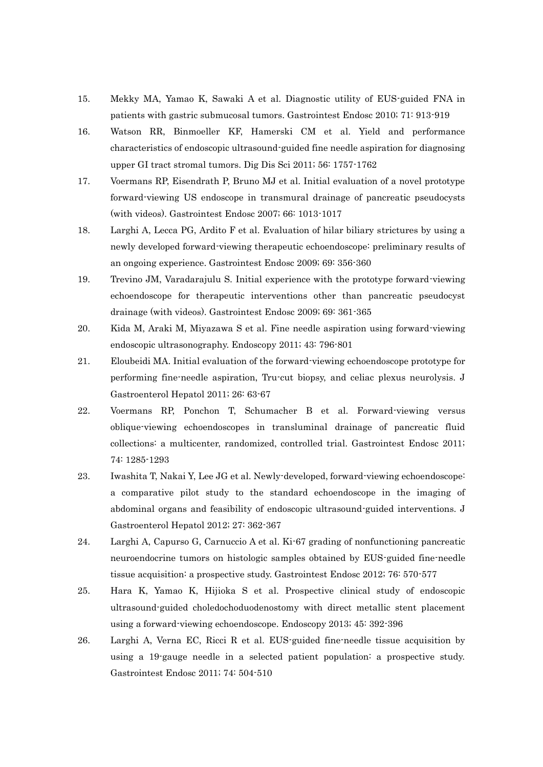- 15. Mekky MA, Yamao K, Sawaki A et al. Diagnostic utility of EUS-guided FNA in patients with gastric submucosal tumors. Gastrointest Endosc 2010; 71: 913-919
- 16. Watson RR, Binmoeller KF, Hamerski CM et al. Yield and performance characteristics of endoscopic ultrasound-guided fine needle aspiration for diagnosing upper GI tract stromal tumors. Dig Dis Sci 2011; 56: 1757-1762
- 17. Voermans RP, Eisendrath P, Bruno MJ et al. Initial evaluation of a novel prototype forward-viewing US endoscope in transmural drainage of pancreatic pseudocysts (with videos). Gastrointest Endosc 2007; 66: 1013-1017
- 18. Larghi A, Lecca PG, Ardito F et al. Evaluation of hilar biliary strictures by using a newly developed forward-viewing therapeutic echoendoscope: preliminary results of an ongoing experience. Gastrointest Endosc 2009; 69: 356-360
- 19. Trevino JM, Varadarajulu S. Initial experience with the prototype forward-viewing echoendoscope for therapeutic interventions other than pancreatic pseudocyst drainage (with videos). Gastrointest Endosc 2009; 69: 361-365
- 20. Kida M, Araki M, Miyazawa S et al. Fine needle aspiration using forward-viewing endoscopic ultrasonography. Endoscopy 2011; 43: 796-801
- 21. Eloubeidi MA. Initial evaluation of the forward-viewing echoendoscope prototype for performing fine-needle aspiration, Tru-cut biopsy, and celiac plexus neurolysis. J Gastroenterol Hepatol 2011; 26: 63-67
- 22. Voermans RP, Ponchon T, Schumacher B et al. Forward-viewing versus oblique-viewing echoendoscopes in transluminal drainage of pancreatic fluid collections: a multicenter, randomized, controlled trial. Gastrointest Endosc 2011; 74: 1285-1293
- 23. Iwashita T, Nakai Y, Lee JG et al. Newly-developed, forward-viewing echoendoscope: a comparative pilot study to the standard echoendoscope in the imaging of abdominal organs and feasibility of endoscopic ultrasound-guided interventions. J Gastroenterol Hepatol 2012; 27: 362-367
- 24. Larghi A, Capurso G, Carnuccio A et al. Ki-67 grading of nonfunctioning pancreatic neuroendocrine tumors on histologic samples obtained by EUS-guided fine-needle tissue acquisition: a prospective study. Gastrointest Endosc 2012; 76: 570-577
- 25. Hara K, Yamao K, Hijioka S et al. Prospective clinical study of endoscopic ultrasound-guided choledochoduodenostomy with direct metallic stent placement using a forward-viewing echoendoscope. Endoscopy 2013; 45: 392-396
- 26. Larghi A, Verna EC, Ricci R et al. EUS-guided fine-needle tissue acquisition by using a 19-gauge needle in a selected patient population: a prospective study. Gastrointest Endosc 2011; 74: 504-510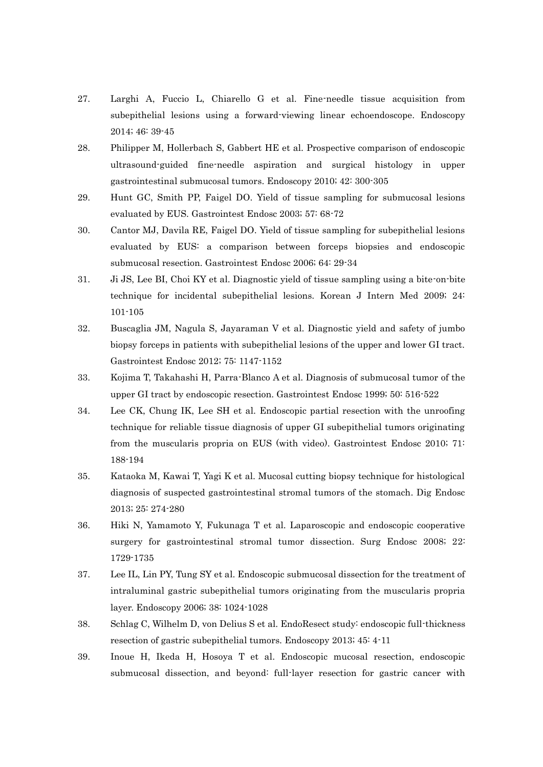- 27. Larghi A, Fuccio L, Chiarello G et al. Fine-needle tissue acquisition from subepithelial lesions using a forward-viewing linear echoendoscope. Endoscopy 2014; 46: 39-45
- 28. Philipper M, Hollerbach S, Gabbert HE et al. Prospective comparison of endoscopic ultrasound-guided fine-needle aspiration and surgical histology in upper gastrointestinal submucosal tumors. Endoscopy 2010; 42: 300-305
- 29. Hunt GC, Smith PP, Faigel DO. Yield of tissue sampling for submucosal lesions evaluated by EUS. Gastrointest Endosc 2003; 57: 68-72
- 30. Cantor MJ, Davila RE, Faigel DO. Yield of tissue sampling for subepithelial lesions evaluated by EUS: a comparison between forceps biopsies and endoscopic submucosal resection. Gastrointest Endosc 2006; 64: 29-34
- 31. Ji JS, Lee BI, Choi KY et al. Diagnostic yield of tissue sampling using a bite-on-bite technique for incidental subepithelial lesions. Korean J Intern Med 2009; 24: 101-105
- 32. Buscaglia JM, Nagula S, Jayaraman V et al. Diagnostic yield and safety of jumbo biopsy forceps in patients with subepithelial lesions of the upper and lower GI tract. Gastrointest Endosc 2012; 75: 1147-1152
- 33. Kojima T, Takahashi H, Parra-Blanco A et al. Diagnosis of submucosal tumor of the upper GI tract by endoscopic resection. Gastrointest Endosc 1999; 50: 516-522
- 34. Lee CK, Chung IK, Lee SH et al. Endoscopic partial resection with the unroofing technique for reliable tissue diagnosis of upper GI subepithelial tumors originating from the muscularis propria on EUS (with video). Gastrointest Endosc 2010; 71: 188-194
- 35. Kataoka M, Kawai T, Yagi K et al. Mucosal cutting biopsy technique for histological diagnosis of suspected gastrointestinal stromal tumors of the stomach. Dig Endosc 2013; 25: 274-280
- 36. Hiki N, Yamamoto Y, Fukunaga T et al. Laparoscopic and endoscopic cooperative surgery for gastrointestinal stromal tumor dissection. Surg Endosc 2008; 22: 1729-1735
- 37. Lee IL, Lin PY, Tung SY et al. Endoscopic submucosal dissection for the treatment of intraluminal gastric subepithelial tumors originating from the muscularis propria layer. Endoscopy 2006; 38: 1024-1028
- 38. Schlag C, Wilhelm D, von Delius S et al. EndoResect study: endoscopic full-thickness resection of gastric subepithelial tumors. Endoscopy 2013; 45: 4-11
- 39. Inoue H, Ikeda H, Hosoya T et al. Endoscopic mucosal resection, endoscopic submucosal dissection, and beyond: full-layer resection for gastric cancer with